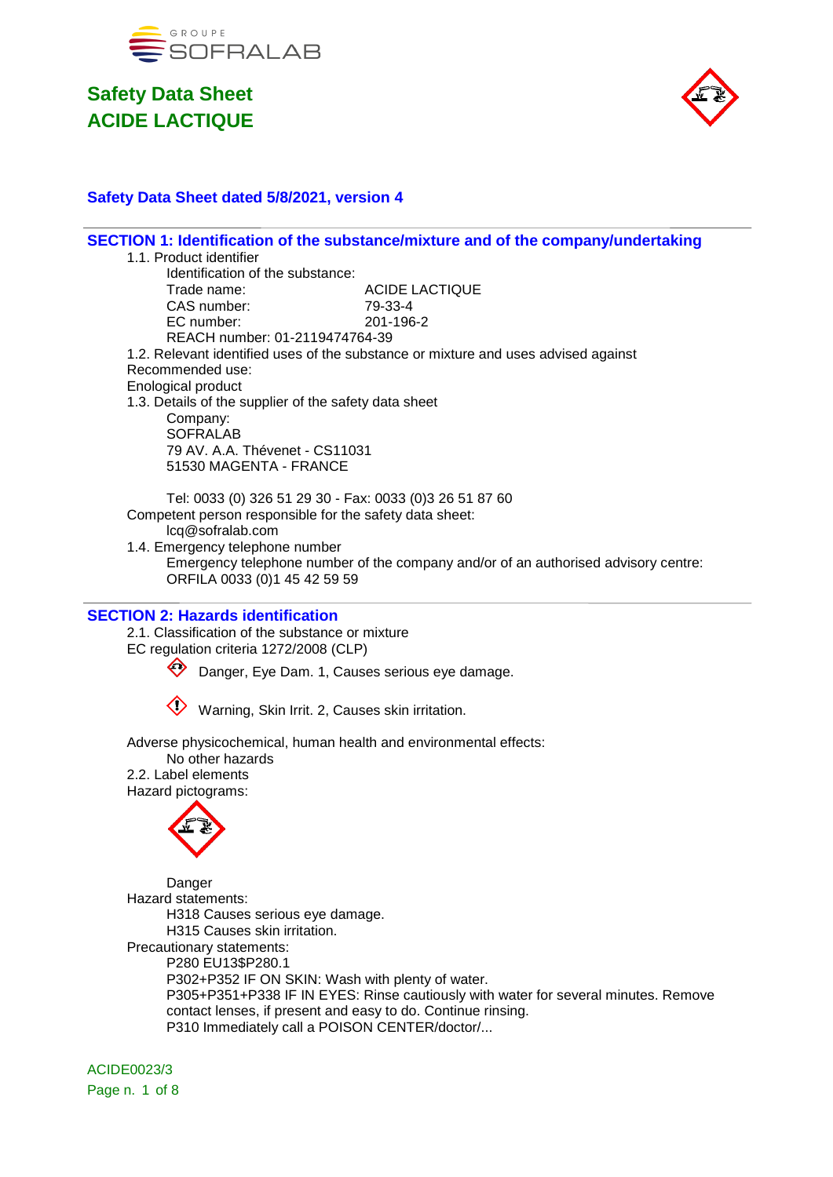



### **Safety Data Sheet dated 5/8/2021, version 4**

| SECTION 1: Identification of the substance/mixture and of the company/undertaking                                  |
|--------------------------------------------------------------------------------------------------------------------|
| 1.1. Product identifier                                                                                            |
| Identification of the substance:                                                                                   |
| Trade name:<br><b>ACIDE LACTIQUE</b><br>CAS number:                                                                |
| 79-33-4<br>EC number:<br>201-196-2                                                                                 |
| REACH number: 01-2119474764-39                                                                                     |
| 1.2. Relevant identified uses of the substance or mixture and uses advised against                                 |
| Recommended use:                                                                                                   |
| <b>Enological product</b>                                                                                          |
| 1.3. Details of the supplier of the safety data sheet                                                              |
| Company:                                                                                                           |
| <b>SOFRALAB</b>                                                                                                    |
| 79 AV. A.A. Thévenet - CS11031                                                                                     |
| 51530 MAGENTA - FRANCE                                                                                             |
|                                                                                                                    |
| Tel: 0033 (0) 326 51 29 30 - Fax: 0033 (0)3 26 51 87 60<br>Competent person responsible for the safety data sheet: |
| lcq@sofralab.com                                                                                                   |
| 1.4. Emergency telephone number                                                                                    |
| Emergency telephone number of the company and/or of an authorised advisory centre:                                 |
| ORFILA 0033 (0)1 45 42 59 59                                                                                       |
|                                                                                                                    |
| <b>SECTION 2: Hazards identification</b>                                                                           |
| 2.1. Classification of the substance or mixture                                                                    |
| EC regulation criteria 1272/2008 (CLP)                                                                             |
| Danger, Eye Dam. 1, Causes serious eye damage.                                                                     |
| Warning, Skin Irrit. 2, Causes skin irritation.                                                                    |
|                                                                                                                    |
| Adverse physicochemical, human health and environmental effects:                                                   |
| No other hazards                                                                                                   |
| 2.2. Label elements                                                                                                |
| Hazard pictograms:                                                                                                 |
|                                                                                                                    |
|                                                                                                                    |
|                                                                                                                    |
|                                                                                                                    |
| Danger                                                                                                             |
| Hazard statements:                                                                                                 |
| H318 Causes serious eye damage.                                                                                    |
| H315 Causes skin irritation.<br>Precautionary statements:                                                          |
| P280 EU13\$P280.1                                                                                                  |
| P302+P352 IF ON SKIN: Wash with plenty of water.                                                                   |
| P305+P351+P338 IF IN EYES: Rinse cautiously with water for several minutes. Remove                                 |
| contact lenses, if present and easy to do. Continue rinsing.                                                       |

P310 Immediately call a POISON CENTER/doctor/...

ACIDE0023/3 Page n. 1 of 8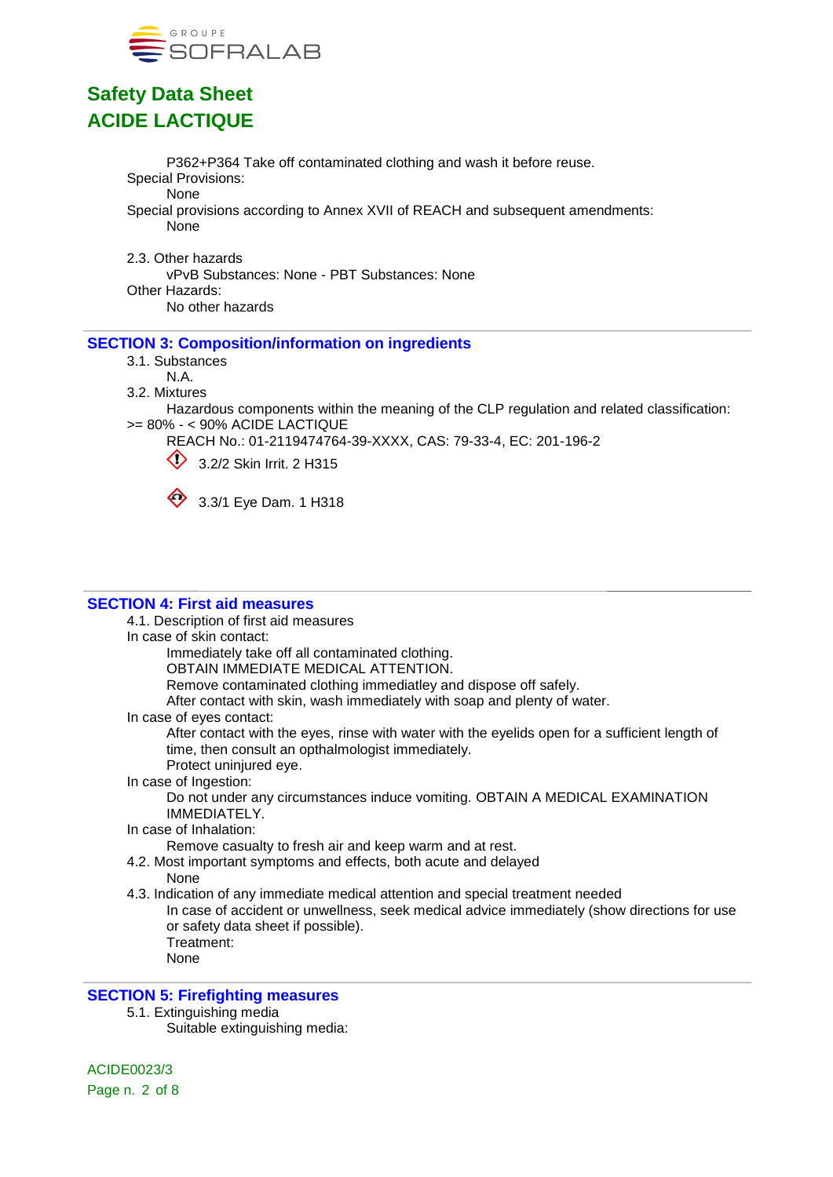

P362+P364 Take off contaminated clothing and wash it before reuse. Special Provisions: None Special provisions according to Annex XVII of REACH and subsequent amendments: None

2.3. Other hazards vPvB Substances: None - PBT Substances: None Other Hazards: No other hazards

#### **SECTION 3: Composition/information on ingredients**

- 3.1. Substances
	- N.A.
- 3.2. Mixtures

Hazardous components within the meaning of the CLP regulation and related classification: >= 80% - < 90% ACIDE LACTIQUE

REACH No.: 01-2119474764-39-XXXX, CAS: 79-33-4, EC: 201-196-2

 $\bigcirc$  3.2/2 Skin Irrit. 2 H315



3.3/1 Eye Dam. 1 H318

#### **SECTION 4: First aid measures**

4.1. Description of first aid measures

In case of skin contact:

Immediately take off all contaminated clothing.

OBTAIN IMMEDIATE MEDICAL ATTENTION.

Remove contaminated clothing immediatley and dispose off safely.

After contact with skin, wash immediately with soap and plenty of water.

In case of eyes contact:

After contact with the eyes, rinse with water with the eyelids open for a sufficient length of time, then consult an opthalmologist immediately.

Protect uninjured eye.

#### In case of Ingestion:

Do not under any circumstances induce vomiting. OBTAIN A MEDICAL EXAMINATION IMMEDIATELY.

#### In case of Inhalation:

Remove casualty to fresh air and keep warm and at rest.

4.2. Most important symptoms and effects, both acute and delayed

#### None

4.3. Indication of any immediate medical attention and special treatment needed

In case of accident or unwellness, seek medical advice immediately (show directions for use or safety data sheet if possible).

- Treatment:
- None

#### **SECTION 5: Firefighting measures**

5.1. Extinguishing media

Suitable extinguishing media: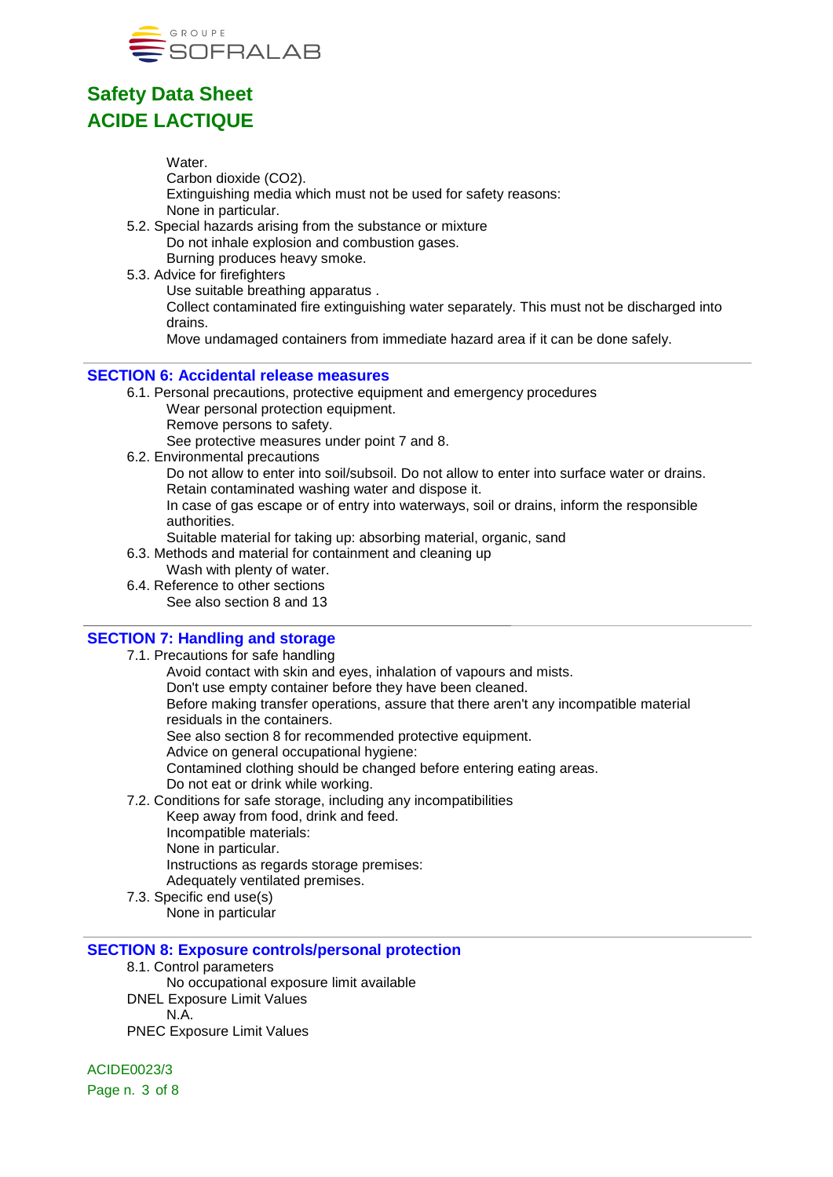

Water. Carbon dioxide (CO2). Extinguishing media which must not be used for safety reasons: None in particular.

- 5.2. Special hazards arising from the substance or mixture Do not inhale explosion and combustion gases. Burning produces heavy smoke.
- 5.3. Advice for firefighters
	- Use suitable breathing apparatus .

Collect contaminated fire extinguishing water separately. This must not be discharged into drains.

Move undamaged containers from immediate hazard area if it can be done safely.

#### **SECTION 6: Accidental release measures**

- 6.1. Personal precautions, protective equipment and emergency procedures
	- Wear personal protection equipment.
	- Remove persons to safety.

See protective measures under point 7 and 8.

6.2. Environmental precautions

Do not allow to enter into soil/subsoil. Do not allow to enter into surface water or drains. Retain contaminated washing water and dispose it.

In case of gas escape or of entry into waterways, soil or drains, inform the responsible authorities.

- Suitable material for taking up: absorbing material, organic, sand
- 6.3. Methods and material for containment and cleaning up
	- Wash with plenty of water.
- 6.4. Reference to other sections See also section 8 and 13

#### **SECTION 7: Handling and storage**

7.1. Precautions for safe handling Avoid contact with skin and eyes, inhalation of vapours and mists. Don't use empty container before they have been cleaned. Before making transfer operations, assure that there aren't any incompatible material residuals in the containers. See also section 8 for recommended protective equipment. Advice on general occupational hygiene: Contamined clothing should be changed before entering eating areas. Do not eat or drink while working. 7.2. Conditions for safe storage, including any incompatibilities Keep away from food, drink and feed. Incompatible materials: None in particular. Instructions as regards storage premises: Adequately ventilated premises.

7.3. Specific end use(s) None in particular

### **SECTION 8: Exposure controls/personal protection**

8.1. Control parameters

No occupational exposure limit available

DNEL Exposure Limit Values

N.A.

PNEC Exposure Limit Values

ACIDE0023/3 Page n. 3 of 8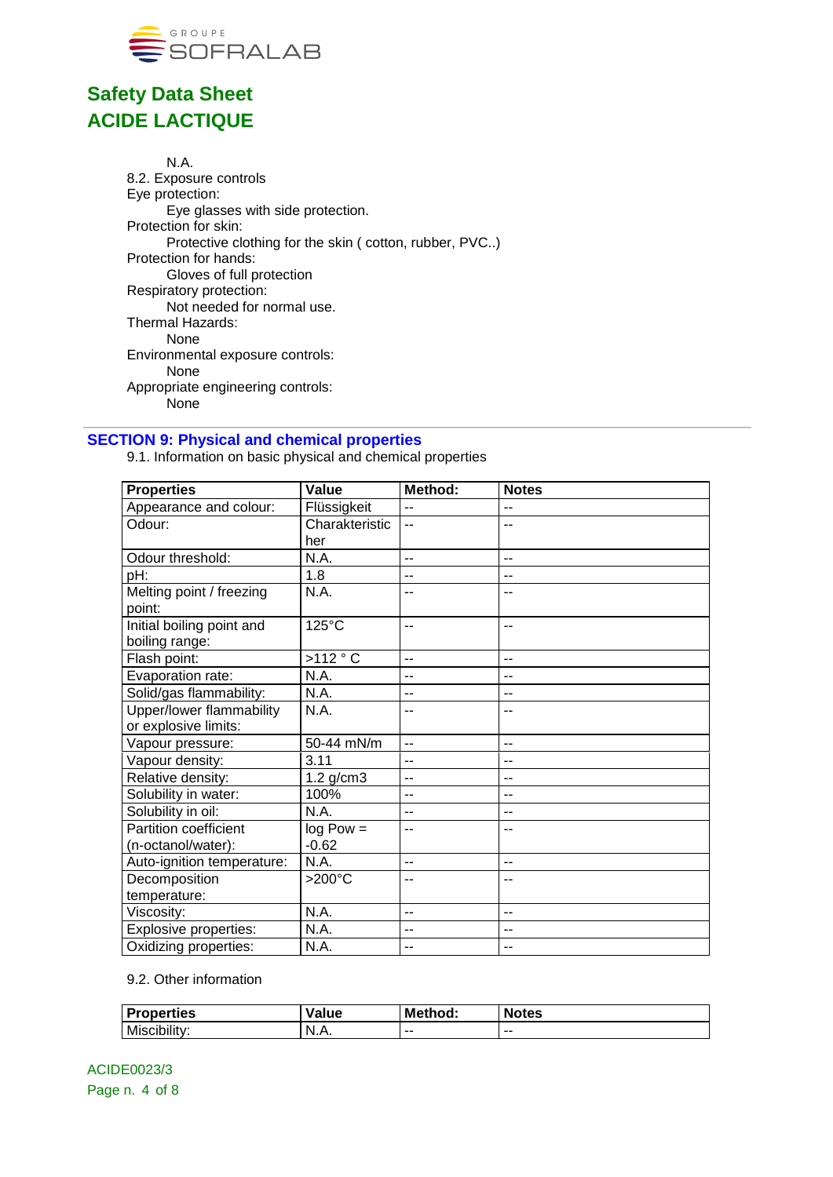

N.A. 8.2. Exposure controls Eye protection: Eye glasses with side protection. Protection for skin: Protective clothing for the skin ( cotton, rubber, PVC..) Protection for hands: Gloves of full protection Respiratory protection: Not needed for normal use. Thermal Hazards: None Environmental exposure controls: None Appropriate engineering controls: None

#### **SECTION 9: Physical and chemical properties**

9.1. Information on basic physical and chemical properties

| <b>Properties</b>          | Value           | Method: | <b>Notes</b> |
|----------------------------|-----------------|---------|--------------|
| Appearance and colour:     | Flüssigkeit     | --      | $-$          |
| Odour:                     | Charakteristic  | $-$     | --           |
|                            | her             |         |              |
| Odour threshold:           | N.A.            | $-$     | --           |
| pH:                        | 1.8             | --      |              |
| Melting point / freezing   | N.A.            | --      | --           |
| point:                     |                 |         |              |
| Initial boiling point and  | 125°C           | --      | --           |
| boiling range:             |                 |         |              |
| Flash point:               | >112 °C         | $-$     | --           |
| Evaporation rate:          | N.A.            | --      | --           |
| Solid/gas flammability:    | N.A.            | $-$     | --           |
| Upper/lower flammability   | N.A.            | --      |              |
| or explosive limits:       |                 |         |              |
| Vapour pressure:           | 50-44 mN/m      | $-$     | --           |
| Vapour density:            | 3.11            | --      | --           |
| Relative density:          | $1.2$ g/cm $3$  | --      | --           |
| Solubility in water:       | 100%            | $-$     | --           |
| Solubility in oil:         | N.A.            | $-$     | $-$          |
| Partition coefficient      | $log Pow =$     | $-$     | --           |
| (n-octanol/water):         | $-0.62$         |         |              |
| Auto-ignition temperature: | N.A.            | $-$     | $-$          |
| Decomposition              | $>200^{\circ}C$ | $-$     | --           |
| temperature:               |                 |         |              |
| Viscosity:                 | N.A.            | --      | --           |
| Explosive properties:      | N.A.            | --      | --           |
| Oxidizing properties:      | N.A.            | $-$     | $-$          |

#### 9.2. Other information

| <b>Properties</b> | Value | Method: | <b>Notes</b> |
|-------------------|-------|---------|--------------|
| Miscibility:      | N.A.  | $- -$   | --           |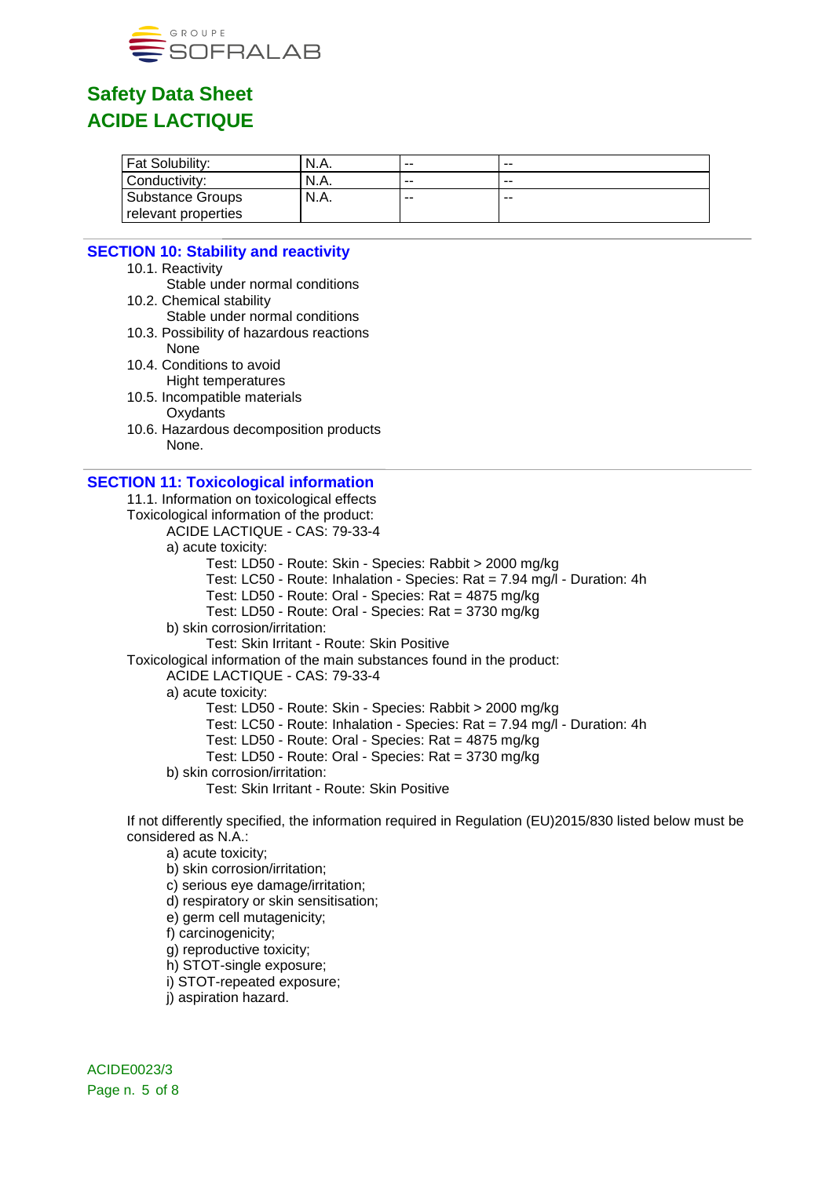

| Fat Solubility:         | N.A. | --    | -- |  |
|-------------------------|------|-------|----|--|
| Conductivity:           | N.A. | --    | -- |  |
| <b>Substance Groups</b> | N.A. | $- -$ | -- |  |
| relevant properties     |      |       |    |  |

#### **SECTION 10: Stability and reactivity**

- 10.1. Reactivity
- Stable under normal conditions 10.2. Chemical stability
- Stable under normal conditions
- 10.3. Possibility of hazardous reactions
- None 10.4. Conditions to avoid
- Hight temperatures
- 10.5. Incompatible materials
	- **Oxydants**
- 10.6. Hazardous decomposition products None.

#### **SECTION 11: Toxicological information**

11.1. Information on toxicological effects Toxicological information of the product: ACIDE LACTIQUE - CAS: 79-33-4 a) acute toxicity: Test: LD50 - Route: Skin - Species: Rabbit > 2000 mg/kg Test: LC50 - Route: Inhalation - Species: Rat = 7.94 mg/l - Duration: 4h Test: LD50 - Route: Oral - Species: Rat = 4875 mg/kg Test: LD50 - Route: Oral - Species: Rat = 3730 mg/kg b) skin corrosion/irritation: Test: Skin Irritant - Route: Skin Positive Toxicological information of the main substances found in the product: ACIDE LACTIQUE - CAS: 79-33-4 a) acute toxicity: Test: LD50 - Route: Skin - Species: Rabbit > 2000 mg/kg Test: LC50 - Route: Inhalation - Species: Rat = 7.94 mg/l - Duration: 4h Test: LD50 - Route: Oral - Species: Rat = 4875 mg/kg Test: LD50 - Route: Oral - Species: Rat = 3730 mg/kg b) skin corrosion/irritation: Test: Skin Irritant - Route: Skin Positive

If not differently specified, the information required in Regulation (EU)2015/830 listed below must be considered as N.A.:

a) acute toxicity;

b) skin corrosion/irritation;

c) serious eye damage/irritation;

d) respiratory or skin sensitisation;

e) germ cell mutagenicity;

f) carcinogenicity;

g) reproductive toxicity;

h) STOT-single exposure;

i) STOT-repeated exposure;

j) aspiration hazard.

ACIDE0023/3 Page n. 5 of 8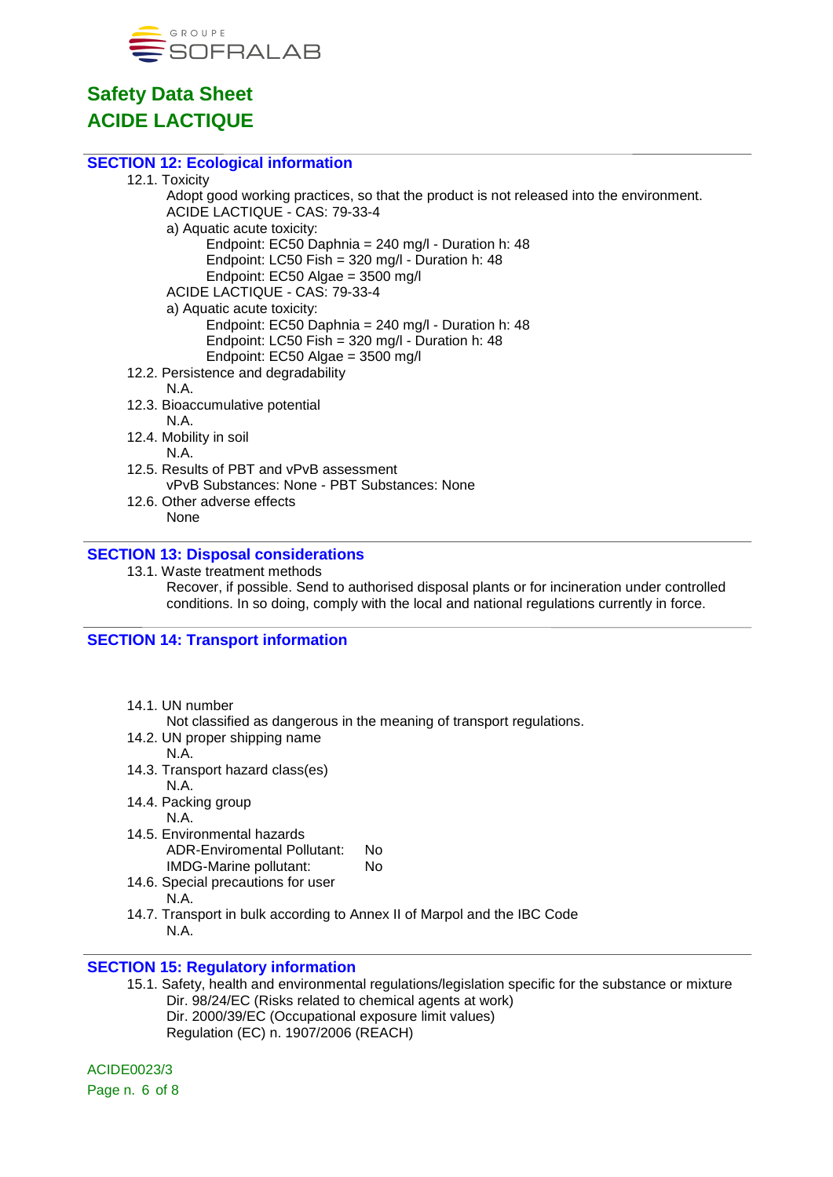

#### **SECTION 12: Ecological information**

#### 12.1. Toxicity

Adopt good working practices, so that the product is not released into the environment. ACIDE LACTIQUE - CAS: 79-33-4 a) Aquatic acute toxicity:

Endpoint: EC50 Daphnia = 240 mg/l - Duration h: 48

Endpoint: LC50 Fish = 320 mg/l - Duration h: 48 Endpoint: EC50 Algae = 3500 mg/l

ACIDE LACTIQUE - CAS: 79-33-4

a) Aquatic acute toxicity:

Endpoint: EC50 Daphnia = 240 mg/l - Duration h: 48

- Endpoint: LC50 Fish = 320 mg/l Duration h: 48
- Endpoint: EC50 Algae = 3500 mg/l
- 12.2. Persistence and degradability N.A.
- 12.3. Bioaccumulative potential N.A.

12.4. Mobility in soil N.A.

- 12.5. Results of PBT and vPvB assessment vPvB Substances: None - PBT Substances: None
- 12.6. Other adverse effects None

#### **SECTION 13: Disposal considerations**

13.1. Waste treatment methods Recover, if possible. Send to authorised disposal plants or for incineration under controlled conditions. In so doing, comply with the local and national regulations currently in force.

#### **SECTION 14: Transport information**

14.1. UN number

Not classified as dangerous in the meaning of transport regulations.

- 14.2. UN proper shipping name
	- N.A.
- 14.3. Transport hazard class(es) N.A.
- 14.4. Packing group N.A.
- 14.5. Environmental hazards ADR-Enviromental Pollutant: No IMDG-Marine pollutant: No
- 14.6. Special precautions for user
	- N.A.
- 14.7. Transport in bulk according to Annex II of Marpol and the IBC Code N.A.

### **SECTION 15: Regulatory information**

15.1. Safety, health and environmental regulations/legislation specific for the substance or mixture Dir. 98/24/EC (Risks related to chemical agents at work) Dir. 2000/39/EC (Occupational exposure limit values)

Regulation (EC) n. 1907/2006 (REACH)

ACIDE0023/3 Page n. 6 of 8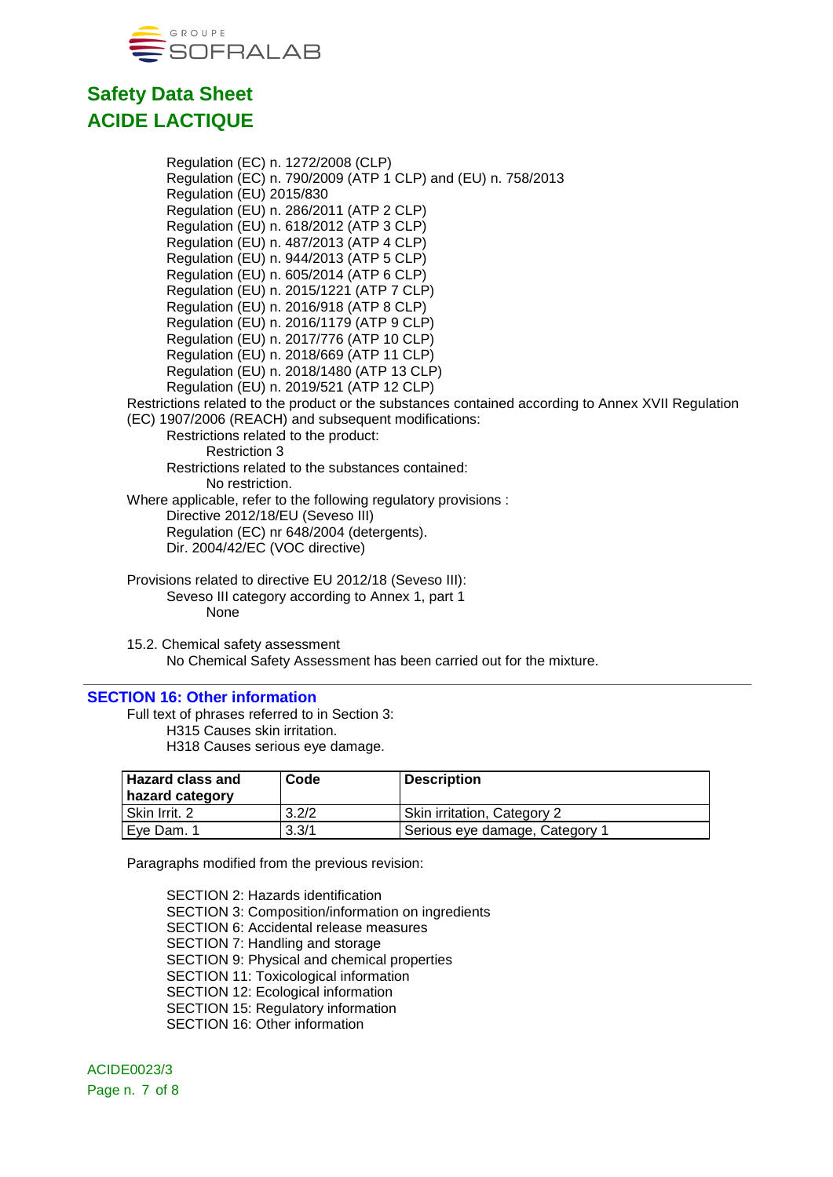

Regulation (EC) n. 1272/2008 (CLP) Regulation (EC) n. 790/2009 (ATP 1 CLP) and (EU) n. 758/2013 Regulation (EU) 2015/830 Regulation (EU) n. 286/2011 (ATP 2 CLP) Regulation (EU) n. 618/2012 (ATP 3 CLP) Regulation (EU) n. 487/2013 (ATP 4 CLP) Regulation (EU) n. 944/2013 (ATP 5 CLP) Regulation (EU) n. 605/2014 (ATP 6 CLP) Regulation (EU) n. 2015/1221 (ATP 7 CLP) Regulation (EU) n. 2016/918 (ATP 8 CLP) Regulation (EU) n. 2016/1179 (ATP 9 CLP) Regulation (EU) n. 2017/776 (ATP 10 CLP) Regulation (EU) n. 2018/669 (ATP 11 CLP) Regulation (EU) n. 2018/1480 (ATP 13 CLP) Regulation (EU) n. 2019/521 (ATP 12 CLP) Restrictions related to the product or the substances contained according to Annex XVII Regulation (EC) 1907/2006 (REACH) and subsequent modifications: Restrictions related to the product: Restriction 3 Restrictions related to the substances contained: No restriction. Where applicable, refer to the following regulatory provisions : Directive 2012/18/EU (Seveso III) Regulation (EC) nr 648/2004 (detergents). Dir. 2004/42/EC (VOC directive) Provisions related to directive EU 2012/18 (Seveso III): Seveso III category according to Annex 1, part 1

None

15.2. Chemical safety assessment No Chemical Safety Assessment has been carried out for the mixture.

#### **SECTION 16: Other information**

Full text of phrases referred to in Section 3: H315 Causes skin irritation. H318 Causes serious eye damage.

| l Hazard class and<br>hazard category | Code  | <b>Description</b>             |
|---------------------------------------|-------|--------------------------------|
| l Skin Irrit. 2                       | 3.2/2 | Skin irritation, Category 2    |
| l Eve Dam. 1                          | 3.3/1 | Serious eye damage, Category 1 |

Paragraphs modified from the previous revision:

SECTION 2: Hazards identification SECTION 3: Composition/information on ingredients SECTION 6: Accidental release measures SECTION 7: Handling and storage SECTION 9: Physical and chemical properties SECTION 11: Toxicological information SECTION 12: Ecological information SECTION 15: Regulatory information SECTION 16: Other information